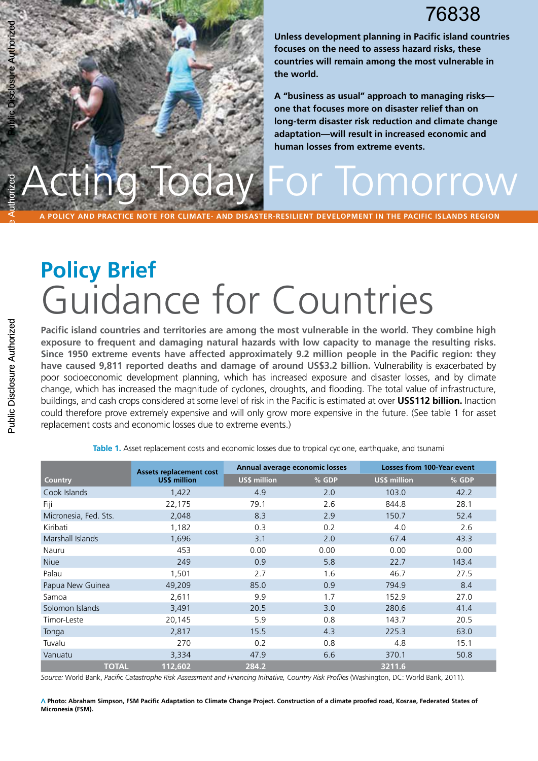# 76838

ting Today For Tomorrow Public Disclosure Authorized

**Unless development planning in Pacific island countries focuses on the need to assess hazard risks, these countries will remain among the most vulnerable in the world.** 

**A "business as usual" approach to managing risks one that focuses more on disaster relief than on long-term disaster risk reduction and climate change adaptation—will result in increased economic and human losses from extreme events.**

**a policy and practice note for climate- and disaster-resilient development in the pacific islands region**

# **Policy Brief** Guidance for Countries

**Pacific island countries and territories are among the most vulnerable in the world. They combine high exposure to frequent and damaging natural hazards with low capacity to manage the resulting risks. Since 1950 extreme events have affected approximately 9.2 million people in the Pacific region: they have caused 9,811 reported deaths and damage of around US\$3.2 billion.** Vulnerability is exacerbated by poor socioeconomic development planning, which has increased exposure and disaster losses, and by climate change, which has increased the magnitude of cyclones, droughts, and flooding. The total value of infrastructure, buildings, and cash crops considered at some level of risk in the Pacific is estimated at over **US\$112 billion.** Inaction could therefore prove extremely expensive and will only grow more expensive in the future. (See table 1 for asset replacement costs and economic losses due to extreme events.)

| <b>Country</b>        | <b>Assets replacement cost</b><br><b>US\$ million</b> |                     | Annual average economic losses |                     | <b>Losses from 100-Year event</b> |  |
|-----------------------|-------------------------------------------------------|---------------------|--------------------------------|---------------------|-----------------------------------|--|
|                       |                                                       | <b>US\$ million</b> | % GDP                          | <b>US\$ million</b> | % GDP                             |  |
| Cook Islands          | 1,422                                                 | 4.9                 | 2.0                            | 103.0               | 42.2                              |  |
| Fiji                  | 22,175                                                | 79.1                | 2.6                            | 844.8               | 28.1                              |  |
| Micronesia, Fed. Sts. | 2,048                                                 | 8.3                 | 2.9                            | 150.7               | 52.4                              |  |
| Kiribati              | 1,182                                                 | 0.3                 | 0.2                            | 4.0                 | 2.6                               |  |
| Marshall Islands      | 1,696                                                 | 3.1                 | 2.0                            | 67.4                | 43.3                              |  |
| Nauru                 | 453                                                   | 0.00                | 0.00                           | 0.00                | 0.00                              |  |
| <b>Niue</b>           | 249                                                   | 0.9                 | 5.8                            | 22.7                | 143.4                             |  |
| Palau                 | 1,501                                                 | 2.7                 | 1.6                            | 46.7                | 27.5                              |  |
| Papua New Guinea      | 49,209                                                | 85.0                | 0.9                            | 794.9               | 8.4                               |  |
| Samoa                 | 2,611                                                 | 9.9                 | 1.7                            | 152.9               | 27.0                              |  |
| Solomon Islands       | 3,491                                                 | 20.5                | 3.0                            | 280.6               | 41.4                              |  |
| Timor-Leste           | 20,145                                                | 5.9                 | 0.8                            | 143.7               | 20.5                              |  |
| Tonga                 | 2,817                                                 | 15.5                | 4.3                            | 225.3               | 63.0                              |  |
| Tuvalu                | 270                                                   | 0.2                 | 0.8                            | 4.8                 | 15.1                              |  |
| Vanuatu               | 3,334                                                 | 47.9                | 6.6                            | 370.1               | 50.8                              |  |
| <b>TOTAL</b>          | 112,602                                               | 284.2               |                                | 3211.6              |                                   |  |

**Table 1.** Asset replacement costs and economic losses due to tropical cyclone, earthquake, and tsunami

*Source:* World Bank, *Pacific Catastrophe Risk Assessment and Financing Initiative, Country Risk Profiles* (Washington, DC: World Bank, 2011).

**Photo: Abraham Simpson, FSM Pacific Adaptation to Climate Change Project. Construction of a climate proofed road, Kosrae, Federated States of Micronesia (FSM).** 

Public Disclosure Authorized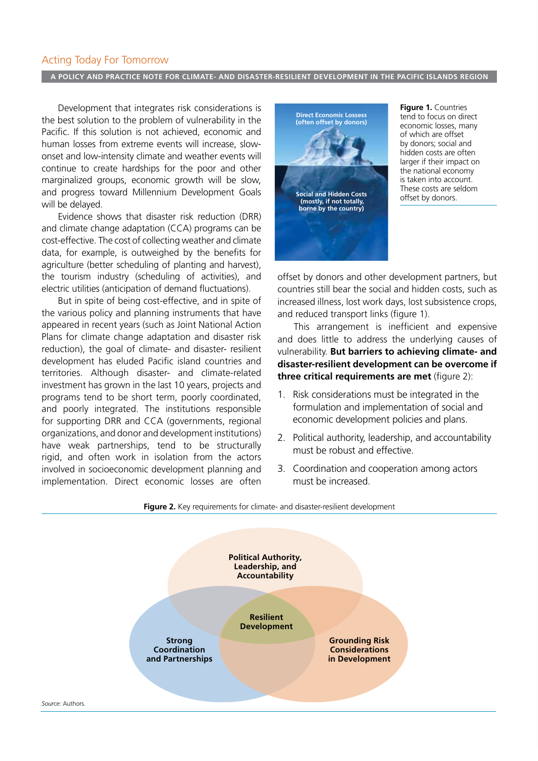#### Acting Today For Tomorrow

#### **a policy and practice note for climate- and disaster-resilient development in the pacific islands region**

Development that integrates risk considerations is the best solution to the problem of vulnerability in the Pacific. If this solution is not achieved, economic and human losses from extreme events will increase, slowonset and low-intensity climate and weather events will continue to create hardships for the poor and other marginalized groups, economic growth will be slow, and progress toward Millennium Development Goals will be delayed.

Evidence shows that disaster risk reduction (DRR) and climate change adaptation (CCA) programs can be cost-effective. The cost of collecting weather and climate data, for example, is outweighed by the benefits for agriculture (better scheduling of planting and harvest), the tourism industry (scheduling of activities), and electric utilities (anticipation of demand fluctuations).

But in spite of being cost-effective, and in spite of the various policy and planning instruments that have appeared in recent years (such as Joint National Action Plans for climate change adaptation and disaster risk reduction), the goal of climate- and disaster- resilient development has eluded Pacific island countries and territories. Although disaster- and climate-related investment has grown in the last 10 years, projects and programs tend to be short term, poorly coordinated, and poorly integrated. The institutions responsible for supporting DRR and CCA (governments, regional organizations, and donor and development institutions) have weak partnerships, tend to be structurally rigid, and often work in isolation from the actors involved in socioeconomic development planning and implementation. Direct economic losses are often



**Figure 1.** Countries tend to focus on direct economic losses, many of which are offset by donors; social and hidden costs are often larger if their impact on the national economy is taken into account. These costs are seldom offset by donors.

offset by donors and other development partners, but countries still bear the social and hidden costs, such as increased illness, lost work days, lost subsistence crops, and reduced transport links (figure 1).

This arrangement is inefficient and expensive and does little to address the underlying causes of vulnerability. **But barriers to achieving climate- and disaster-resilient development can be overcome if three critical requirements are met** (figure 2):

- 1. Risk considerations must be integrated in the formulation and implementation of social and economic development policies and plans.
- 2. Political authority, leadership, and accountability must be robust and effective.
- 3. Coordination and cooperation among actors must be increased.

#### **Figure 2.** Key requirements for climate- and disaster-resilient development

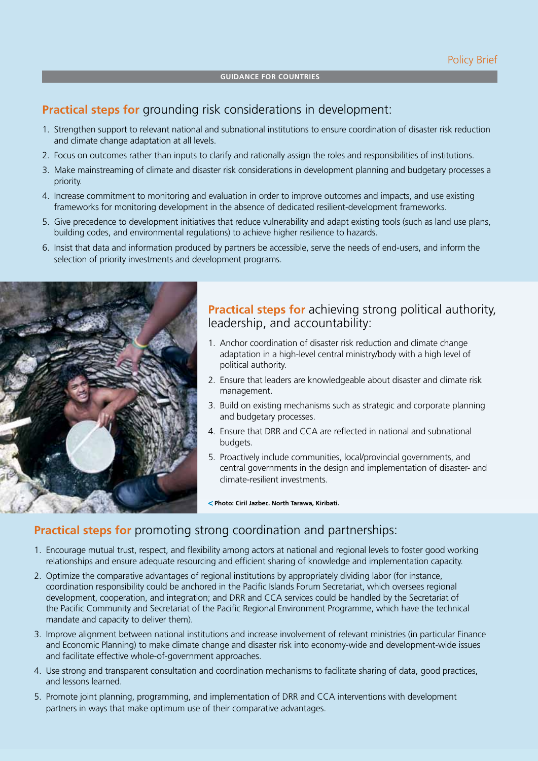## **Practical steps for** grounding risk considerations in development:

- 1. Strengthen support to relevant national and subnational institutions to ensure coordination of disaster risk reduction and climate change adaptation at all levels.
- 2. Focus on outcomes rather than inputs to clarify and rationally assign the roles and responsibilities of institutions.
- 3. Make mainstreaming of climate and disaster risk considerations in development planning and budgetary processes a priority.
- 4. Increase commitment to monitoring and evaluation in order to improve outcomes and impacts, and use existing frameworks for monitoring development in the absence of dedicated resilient-development frameworks.
- 5. Give precedence to development initiatives that reduce vulnerability and adapt existing tools (such as land use plans, building codes, and environmental regulations) to achieve higher resilience to hazards.
- 6. Insist that data and information produced by partners be accessible, serve the needs of end-users, and inform the selection of priority investments and development programs.



### **Practical steps for** achieving strong political authority, leadership, and accountability:

- 1. Anchor coordination of disaster risk reduction and climate change adaptation in a high-level central ministry/body with a high level of political authority.
- 2. Ensure that leaders are knowledgeable about disaster and climate risk management.
- 3. Build on existing mechanisms such as strategic and corporate planning and budgetary processes.
- 4. Ensure that DRR and CCA are reflected in national and subnational budgets.
- 5. Proactively include communities, local/provincial governments, and central governments in the design and implementation of disaster- and climate-resilient investments.

**Photo: Ciril Jazbec. North Tarawa, Kiribati.** 

# **Practical steps for** promoting strong coordination and partnerships:

- 1. Encourage mutual trust, respect, and flexibility among actors at national and regional levels to foster good working relationships and ensure adequate resourcing and efficient sharing of knowledge and implementation capacity.
- 2. Optimize the comparative advantages of regional institutions by appropriately dividing labor (for instance, coordination responsibility could be anchored in the Pacific Islands Forum Secretariat, which oversees regional development, cooperation, and integration; and DRR and CCA services could be handled by the Secretariat of the Pacific Community and Secretariat of the Pacific Regional Environment Programme, which have the technical mandate and capacity to deliver them).
- 3. Improve alignment between national institutions and increase involvement of relevant ministries (in particular Finance and Economic Planning) to make climate change and disaster risk into economy-wide and development-wide issues and facilitate effective whole-of-government approaches.
- 4. Use strong and transparent consultation and coordination mechanisms to facilitate sharing of data, good practices, and lessons learned.
- 5. Promote joint planning, programming, and implementation of DRR and CCA interventions with development partners in ways that make optimum use of their comparative advantages.